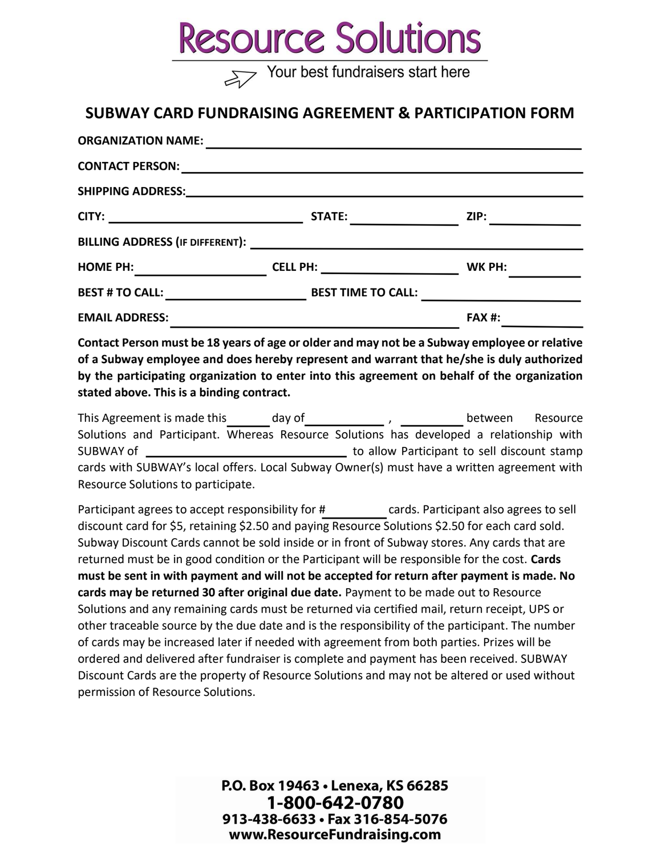## **Resource Solutions**

Your best fundraisers start here

## SUBWAY CARD FUNDRAISING AGREEMENT & PARTICIPATION FORM

| <b>ORGANIZATION NAME:</b>              |                                                                                  |               |
|----------------------------------------|----------------------------------------------------------------------------------|---------------|
| <b>CONTACT PERSON:</b>                 | ,我们也不会有一个人的人,我们也不会有一个人的人,我们也不会有一个人的人。""我们,我们也不会有一个人的人,我们也不会有一个人的人,我们也不会有一个人的人,我们 |               |
|                                        |                                                                                  |               |
| <b>CITY:</b>                           | <b>STATE:</b>                                                                    | ZIP:          |
|                                        |                                                                                  |               |
| <b>HOME PH:</b>                        | <b>CELL PH:</b> _____________________                                            | WK PH:        |
| <b>BEST # TO CALL:</b> _______________ | <b>BEST TIME TO CALL:</b>                                                        |               |
| <b>EMAIL ADDRESS:</b>                  |                                                                                  | <b>FAX #:</b> |

Contact Person must be 18 years of age or older and may not be a Subway employee or relative of a Subway employee and does hereby represent and warrant that he/she is duly authorized by the participating organization to enter into this agreement on behalf of the organization stated above. This is a binding contract.

This Agreement is made this day of the state of the section of the section of the Resource Solutions and Participant. Whereas Resource Solutions has developed a relationship with SUBWAY of to allow Participant to sell discount stamp cards with SUBWAY's local offers. Local Subway Owner(s) must have a written agreement with Resource Solutions to participate.

Participant agrees to accept responsibility for # cards. Participant also agrees to sell discount card for \$5, retaining \$2.50 and paying Resource Solutions \$2.50 for each card sold. Subway Discount Cards cannot be sold inside or in front of Subway stores. Any cards that are returned must be in good condition or the Participant will be responsible for the cost. Cards must be sent in with payment and will not be accepted for return after payment is made. No cards may be returned 30 after original due date. Payment to be made out to Resource Solutions and any remaining cards must be returned via certified mail, return receipt, UPS or other traceable source by the due date and is the responsibility of the participant. The number of cards may be increased later if needed with agreement from both parties. Prizes will be ordered and delivered after fundraiser is complete and payment has been received. SUBWAY Discount Cards are the property of Resource Solutions and may not be altered or used without permission of Resource Solutions.

> P.O. Box 19463 . Lenexa, KS 66285 1-800-642-0780 913-438-6633 · Fax 316-854-5076 www.ResourceFundraising.com